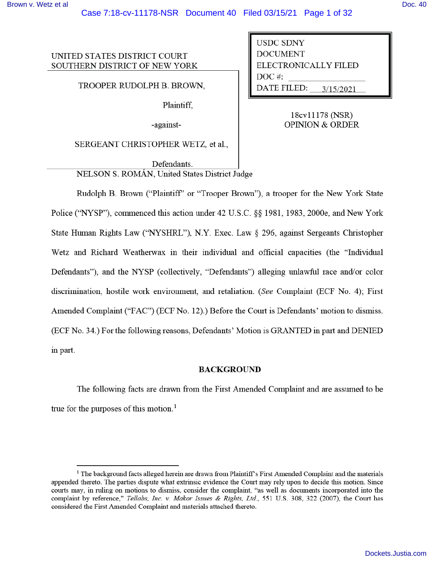UNITED STATES DISTRICT COURT SOUTHERN DISTRICT OF NEW YORK

TROOPER RUDOLPH B. BROWN,

Plaintiff,

-against-

SERGEANT CHRISTOPHER WETZ, et al.,

Defendants. NELSON S. ROMÁN, United States District Judge

**USDC SDNY DOCUMENT** ELECTRONICALLY FILED DOC#: **DATE FILED:** 3/15/2021

> 18cv11178 (NSR) **OPINION & ORDER**

Rudolph B. Brown ("Plaintiff" or "Trooper Brown"), a trooper for the New York State Police ("NYSP"), commenced this action under 42 U.S.C. §§ 1981, 1983, 2000e, and New York State Human Rights Law ("NYSHRL"), N.Y. Exec. Law § 296, against Sergeants Christopher Wetz and Richard Weatherwax in their individual and official capacities (the "Individual Defendants"), and the NYSP (collectively, "Defendants") alleging unlawful race and/or color discrimination, hostile work environment, and retaliation. (See Complaint (ECF No. 4); First Amended Complaint ("FAC") (ECF No. 12).) Before the Court is Defendants' motion to dismiss. (ECF No. 34.) For the following reasons, Defendants' Motion is GRANTED in part and DENIED in part.

#### **BACKGROUND**

The following facts are drawn from the First Amended Complaint and are assumed to be true for the purposes of this motion.<sup>1</sup>

<sup>&</sup>lt;sup>1</sup> The background facts alleged herein are drawn from Plaintiff's First Amended Complaint and the materials appended thereto. The parties dispute what extrinsic evidence the Court may rely upon to decide this motion. Since courts may, in ruling on motions to dismiss, consider the complaint, "as well as documents incorporated into the complaint by reference," Tellabs, Inc. v. Makor Issues & Rights, Ltd., 551 U.S. 308, 322 (2007), the Court has considered the First Amended Complaint and materials attached thereto.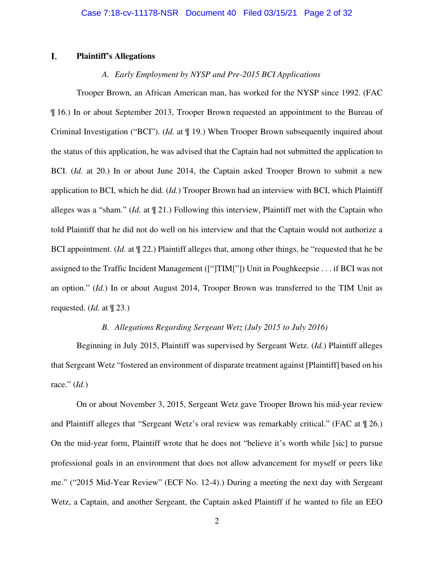#### L. **Plaintiff's Allegations**

# *A. Early Employment by NYSP and Pre-2015 BCI Applications*

Trooper Brown, an African American man, has worked for the NYSP since 1992. (FAC ¶ 16.) In or about September 2013, Trooper Brown requested an appointment to the Bureau of Criminal Investigation ("BCI"). (*Id.* at ¶ 19.) When Trooper Brown subsequently inquired about the status of this application, he was advised that the Captain had not submitted the application to BCI. (*Id.* at 20.) In or about June 2014, the Captain asked Trooper Brown to submit a new application to BCI, which he did. (*Id.*) Trooper Brown had an interview with BCI, which Plaintiff alleges was a "sham." (*Id.* at ¶ 21.) Following this interview, Plaintiff met with the Captain who told Plaintiff that he did not do well on his interview and that the Captain would not authorize a BCI appointment. (*Id.* at ¶ 22.) Plaintiff alleges that, among other things, he "requested that he be assigned to the Traffic Incident Management (["]TIM["]) Unit in Poughkeepsie . . . if BCI was not an option." (*Id.*) In or about August 2014, Trooper Brown was transferred to the TIM Unit as requested. (*Id.* at ¶ 23.)

# *B. Allegations Regarding Sergeant Wetz (July 2015 to July 2016)*

Beginning in July 2015, Plaintiff was supervised by Sergeant Wetz. (*Id.*) Plaintiff alleges that Sergeant Wetz "fostered an environment of disparate treatment against [Plaintiff] based on his race." (*Id.*)

On or about November 3, 2015, Sergeant Wetz gave Trooper Brown his mid-year review and Plaintiff alleges that "Sergeant Wetz's oral review was remarkably critical." (FAC at ¶ 26.) On the mid-year form, Plaintiff wrote that he does not "believe it's worth while [sic] to pursue professional goals in an environment that does not allow advancement for myself or peers like me." ("2015 Mid-Year Review" (ECF No. 12-4).) During a meeting the next day with Sergeant Wetz, a Captain, and another Sergeant, the Captain asked Plaintiff if he wanted to file an EEO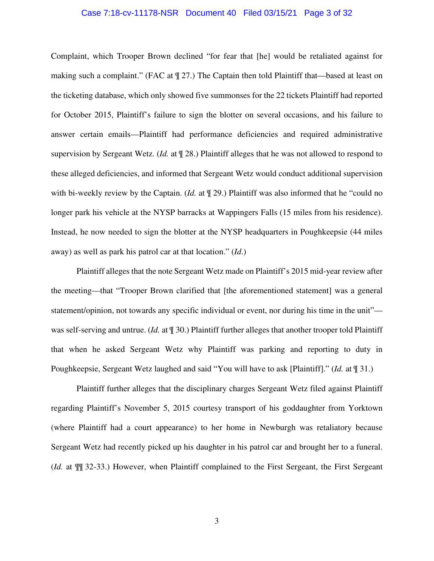#### Case 7:18-cv-11178-NSR Document 40 Filed 03/15/21 Page 3 of 32

Complaint, which Trooper Brown declined "for fear that [he] would be retaliated against for making such a complaint." (FAC at  $\P$  27.) The Captain then told Plaintiff that—based at least on the ticketing database, which only showed five summonses for the 22 tickets Plaintiff had reported for October 2015, Plaintiff's failure to sign the blotter on several occasions, and his failure to answer certain emails—Plaintiff had performance deficiencies and required administrative supervision by Sergeant Wetz. (*Id.* at ¶ 28.) Plaintiff alleges that he was not allowed to respond to these alleged deficiencies, and informed that Sergeant Wetz would conduct additional supervision with bi-weekly review by the Captain. (*Id.* at  $\P$  29.) Plaintiff was also informed that he "could no longer park his vehicle at the NYSP barracks at Wappingers Falls (15 miles from his residence). Instead, he now needed to sign the blotter at the NYSP headquarters in Poughkeepsie (44 miles away) as well as park his patrol car at that location." (*Id*.)

Plaintiff alleges that the note Sergeant Wetz made on Plaintiff's 2015 mid-year review after the meeting—that "Trooper Brown clarified that [the aforementioned statement] was a general statement/opinion, not towards any specific individual or event, nor during his time in the unit" was self-serving and untrue. (*Id.* at ¶ 30.) Plaintiff further alleges that another trooper told Plaintiff that when he asked Sergeant Wetz why Plaintiff was parking and reporting to duty in Poughkeepsie, Sergeant Wetz laughed and said "You will have to ask [Plaintiff]." (*Id.* at ¶ 31.)

Plaintiff further alleges that the disciplinary charges Sergeant Wetz filed against Plaintiff regarding Plaintiff's November 5, 2015 courtesy transport of his goddaughter from Yorktown (where Plaintiff had a court appearance) to her home in Newburgh was retaliatory because Sergeant Wetz had recently picked up his daughter in his patrol car and brought her to a funeral. (*Id.* at ¶¶ 32-33.) However, when Plaintiff complained to the First Sergeant, the First Sergeant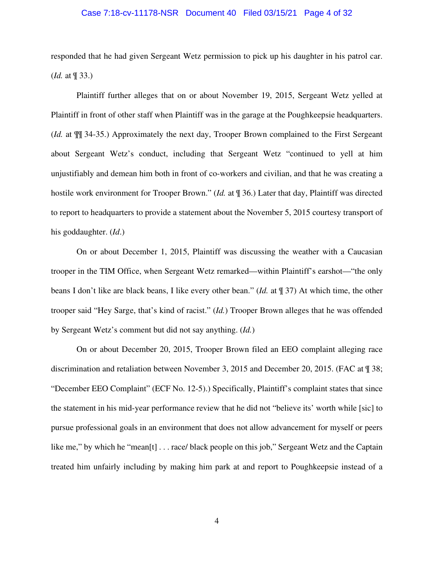#### Case 7:18-cv-11178-NSR Document 40 Filed 03/15/21 Page 4 of 32

responded that he had given Sergeant Wetz permission to pick up his daughter in his patrol car. (*Id.* at ¶ 33.)

Plaintiff further alleges that on or about November 19, 2015, Sergeant Wetz yelled at Plaintiff in front of other staff when Plaintiff was in the garage at the Poughkeepsie headquarters. (*Id.* at ¶¶ 34-35.) Approximately the next day, Trooper Brown complained to the First Sergeant about Sergeant Wetz's conduct, including that Sergeant Wetz "continued to yell at him unjustifiably and demean him both in front of co-workers and civilian, and that he was creating a hostile work environment for Trooper Brown." (*Id.* at ¶ 36.) Later that day, Plaintiff was directed to report to headquarters to provide a statement about the November 5, 2015 courtesy transport of his goddaughter. (*Id*.)

On or about December 1, 2015, Plaintiff was discussing the weather with a Caucasian trooper in the TIM Office, when Sergeant Wetz remarked—within Plaintiff's earshot—"the only beans I don't like are black beans, I like every other bean." (*Id.* at ¶ 37) At which time, the other trooper said "Hey Sarge, that's kind of racist." (*Id.*) Trooper Brown alleges that he was offended by Sergeant Wetz's comment but did not say anything. (*Id.*)

On or about December 20, 2015, Trooper Brown filed an EEO complaint alleging race discrimination and retaliation between November 3, 2015 and December 20, 2015. (FAC at ¶ 38; "December EEO Complaint" (ECF No. 12-5).) Specifically, Plaintiff's complaint states that since the statement in his mid-year performance review that he did not "believe its' worth while [sic] to pursue professional goals in an environment that does not allow advancement for myself or peers like me," by which he "mean<sup>[t]</sup> . . . race/ black people on this job," Sergeant Wetz and the Captain treated him unfairly including by making him park at and report to Poughkeepsie instead of a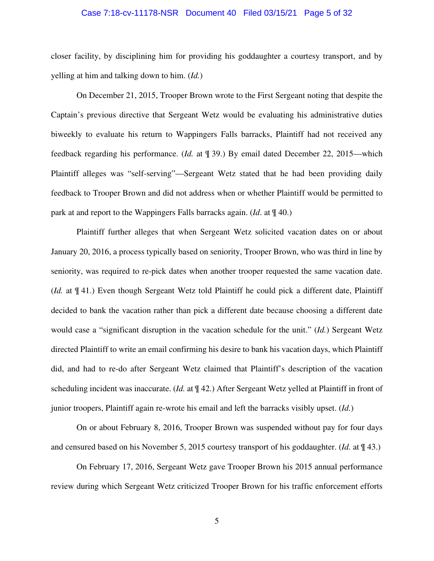#### Case 7:18-cv-11178-NSR Document 40 Filed 03/15/21 Page 5 of 32

closer facility, by disciplining him for providing his goddaughter a courtesy transport, and by yelling at him and talking down to him. (*Id.*)

On December 21, 2015, Trooper Brown wrote to the First Sergeant noting that despite the Captain's previous directive that Sergeant Wetz would be evaluating his administrative duties biweekly to evaluate his return to Wappingers Falls barracks, Plaintiff had not received any feedback regarding his performance. (*Id.* at ¶ 39.) By email dated December 22, 2015—which Plaintiff alleges was "self-serving"—Sergeant Wetz stated that he had been providing daily feedback to Trooper Brown and did not address when or whether Plaintiff would be permitted to park at and report to the Wappingers Falls barracks again. (*Id*. at ¶ 40.)

Plaintiff further alleges that when Sergeant Wetz solicited vacation dates on or about January 20, 2016, a process typically based on seniority, Trooper Brown, who was third in line by seniority, was required to re-pick dates when another trooper requested the same vacation date. (*Id.* at ¶ 41.) Even though Sergeant Wetz told Plaintiff he could pick a different date, Plaintiff decided to bank the vacation rather than pick a different date because choosing a different date would case a "significant disruption in the vacation schedule for the unit." (*Id.*) Sergeant Wetz directed Plaintiff to write an email confirming his desire to bank his vacation days, which Plaintiff did, and had to re-do after Sergeant Wetz claimed that Plaintiff's description of the vacation scheduling incident was inaccurate. (*Id.* at ¶ 42.) After Sergeant Wetz yelled at Plaintiff in front of junior troopers, Plaintiff again re-wrote his email and left the barracks visibly upset. (*Id.*)

On or about February 8, 2016, Trooper Brown was suspended without pay for four days and censured based on his November 5, 2015 courtesy transport of his goddaughter. (*Id.* at ¶ 43.)

On February 17, 2016, Sergeant Wetz gave Trooper Brown his 2015 annual performance review during which Sergeant Wetz criticized Trooper Brown for his traffic enforcement efforts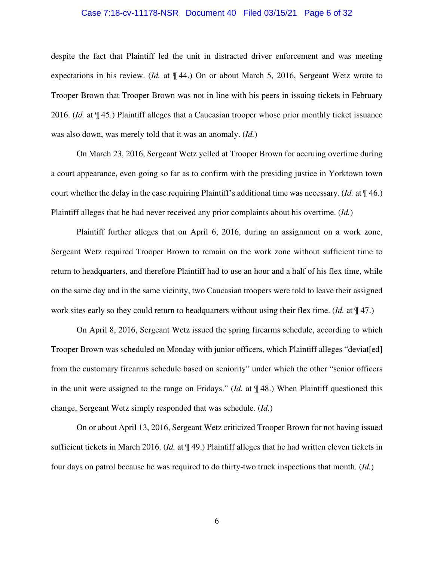#### Case 7:18-cv-11178-NSR Document 40 Filed 03/15/21 Page 6 of 32

despite the fact that Plaintiff led the unit in distracted driver enforcement and was meeting expectations in his review. (*Id.* at ¶ 44.) On or about March 5, 2016, Sergeant Wetz wrote to Trooper Brown that Trooper Brown was not in line with his peers in issuing tickets in February 2016. (*Id.* at ¶ 45.) Plaintiff alleges that a Caucasian trooper whose prior monthly ticket issuance was also down, was merely told that it was an anomaly. (*Id.*)

On March 23, 2016, Sergeant Wetz yelled at Trooper Brown for accruing overtime during a court appearance, even going so far as to confirm with the presiding justice in Yorktown town court whether the delay in the case requiring Plaintiff's additional time was necessary. (*Id.* at ¶ 46.) Plaintiff alleges that he had never received any prior complaints about his overtime. (*Id.*)

Plaintiff further alleges that on April 6, 2016, during an assignment on a work zone, Sergeant Wetz required Trooper Brown to remain on the work zone without sufficient time to return to headquarters, and therefore Plaintiff had to use an hour and a half of his flex time, while on the same day and in the same vicinity, two Caucasian troopers were told to leave their assigned work sites early so they could return to headquarters without using their flex time. (*Id.* at  $\P$  47.)

On April 8, 2016, Sergeant Wetz issued the spring firearms schedule, according to which Trooper Brown was scheduled on Monday with junior officers, which Plaintiff alleges "deviat[ed] from the customary firearms schedule based on seniority" under which the other "senior officers in the unit were assigned to the range on Fridays." (*Id.* at ¶ 48.) When Plaintiff questioned this change, Sergeant Wetz simply responded that was schedule. (*Id.*)

On or about April 13, 2016, Sergeant Wetz criticized Trooper Brown for not having issued sufficient tickets in March 2016. (*Id.* at ¶ 49.) Plaintiff alleges that he had written eleven tickets in four days on patrol because he was required to do thirty-two truck inspections that month. (*Id.*)

6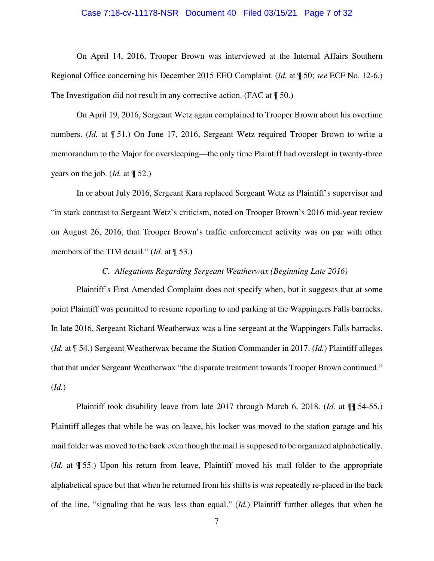#### Case 7:18-cv-11178-NSR Document 40 Filed 03/15/21 Page 7 of 32

On April 14, 2016, Trooper Brown was interviewed at the Internal Affairs Southern Regional Office concerning his December 2015 EEO Complaint. (*Id.* at ¶ 50; *see* ECF No. 12-6.) The Investigation did not result in any corrective action. (FAC at  $\parallel$  50.)

On April 19, 2016, Sergeant Wetz again complained to Trooper Brown about his overtime numbers. (*Id.* at ¶ 51.) On June 17, 2016, Sergeant Wetz required Trooper Brown to write a memorandum to the Major for oversleeping—the only time Plaintiff had overslept in twenty-three years on the job. (*Id.* at ¶ 52.)

In or about July 2016, Sergeant Kara replaced Sergeant Wetz as Plaintiff's supervisor and "in stark contrast to Sergeant Wetz's criticism, noted on Trooper Brown's 2016 mid-year review on August 26, 2016, that Trooper Brown's traffic enforcement activity was on par with other members of the TIM detail." (*Id.* at ¶ 53.)

### *C. Allegations Regarding Sergeant Weatherwax (Beginning Late 2016)*

Plaintiff's First Amended Complaint does not specify when, but it suggests that at some point Plaintiff was permitted to resume reporting to and parking at the Wappingers Falls barracks. In late 2016, Sergeant Richard Weatherwax was a line sergeant at the Wappingers Falls barracks. (*Id.* at ¶ 54.) Sergeant Weatherwax became the Station Commander in 2017. (*Id.*) Plaintiff alleges that that under Sergeant Weatherwax "the disparate treatment towards Trooper Brown continued." (*Id.*)

Plaintiff took disability leave from late 2017 through March 6, 2018. (*Id.* at ¶¶ 54-55.) Plaintiff alleges that while he was on leave, his locker was moved to the station garage and his mail folder was moved to the back even though the mail is supposed to be organized alphabetically. (*Id.* at ¶ 55.) Upon his return from leave, Plaintiff moved his mail folder to the appropriate alphabetical space but that when he returned from his shifts is was repeatedly re-placed in the back of the line, "signaling that he was less than equal." (*Id.*) Plaintiff further alleges that when he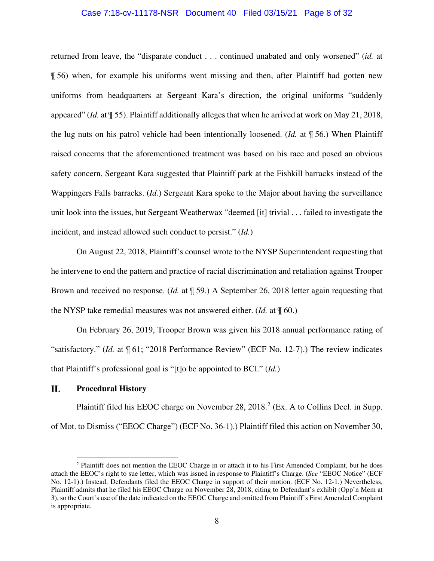#### Case 7:18-cv-11178-NSR Document 40 Filed 03/15/21 Page 8 of 32

returned from leave, the "disparate conduct . . . continued unabated and only worsened" (*id.* at ¶ 56) when, for example his uniforms went missing and then, after Plaintiff had gotten new uniforms from headquarters at Sergeant Kara's direction, the original uniforms "suddenly appeared" (*Id.* at ¶ 55). Plaintiff additionally alleges that when he arrived at work on May 21, 2018, the lug nuts on his patrol vehicle had been intentionally loosened. (*Id.* at ¶ 56.) When Plaintiff raised concerns that the aforementioned treatment was based on his race and posed an obvious safety concern, Sergeant Kara suggested that Plaintiff park at the Fishkill barracks instead of the Wappingers Falls barracks. (*Id.*) Sergeant Kara spoke to the Major about having the surveillance unit look into the issues, but Sergeant Weatherwax "deemed [it] trivial . . . failed to investigate the incident, and instead allowed such conduct to persist." (*Id.*)

On August 22, 2018, Plaintiff's counsel wrote to the NYSP Superintendent requesting that he intervene to end the pattern and practice of racial discrimination and retaliation against Trooper Brown and received no response. (*Id.* at ¶ 59.) A September 26, 2018 letter again requesting that the NYSP take remedial measures was not answered either. (*Id.* at ¶ 60.)

On February 26, 2019, Trooper Brown was given his 2018 annual performance rating of "satisfactory." (*Id.* at ¶ 61; "2018 Performance Review" (ECF No. 12-7).) The review indicates that Plaintiff's professional goal is "[t]o be appointed to BCI." (*Id.*)

#### П. **Procedural History**

Plaintiff filed his EEOC charge on November 28,  $2018.<sup>2</sup>$  (Ex. A to Collins Decl. in Supp. of Mot. to Dismiss ("EEOC Charge") (ECF No. 36-1).) Plaintiff filed this action on November 30,

<sup>2</sup> Plaintiff does not mention the EEOC Charge in or attach it to his First Amended Complaint, but he does attach the EEOC's right to sue letter, which was issued in response to Plaintiff's Charge. (*See* "EEOC Notice" (ECF No. 12-1).) Instead, Defendants filed the EEOC Charge in support of their motion. (ECF No. 12-1.) Nevertheless, Plaintiff admits that he filed his EEOC Charge on November 28, 2018, citing to Defendant's exhibit (Opp'n Mem at 3), so the Court's use of the date indicated on the EEOC Charge and omitted from Plaintiff's First Amended Complaint is appropriate.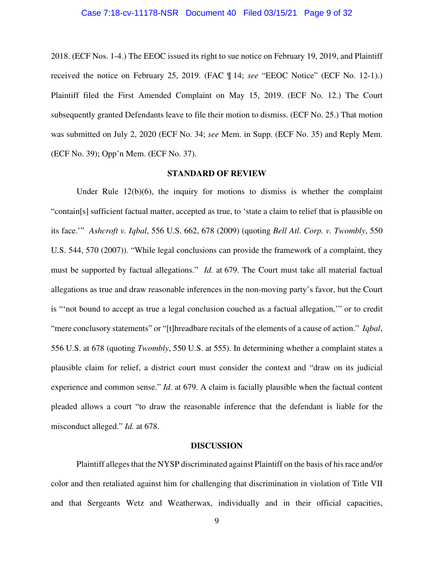#### Case 7:18-cv-11178-NSR Document 40 Filed 03/15/21 Page 9 of 32

2018. (ECF Nos. 1-4.) The EEOC issued its right to sue notice on February 19, 2019, and Plaintiff received the notice on February 25, 2019. (FAC ¶ 14; *see* "EEOC Notice" (ECF No. 12-1).) Plaintiff filed the First Amended Complaint on May 15, 2019. (ECF No. 12.) The Court subsequently granted Defendants leave to file their motion to dismiss. (ECF No. 25.) That motion was submitted on July 2, 2020 (ECF No. 34; *see* Mem. in Supp. (ECF No. 35) and Reply Mem. (ECF No. 39); Opp'n Mem. (ECF No. 37).

### **STANDARD OF REVIEW**

Under Rule  $12(b)(6)$ , the inquiry for motions to dismiss is whether the complaint "contain[s] sufficient factual matter, accepted as true, to 'state a claim to relief that is plausible on its face.'" *Ashcroft v. Iqbal*, 556 U.S. 662, 678 (2009) (quoting *Bell Atl. Corp. v. Twombly*, 550 U.S. 544, 570 (2007)). "While legal conclusions can provide the framework of a complaint, they must be supported by factual allegations." *Id.* at 679. The Court must take all material factual allegations as true and draw reasonable inferences in the non-moving party's favor, but the Court is "'not bound to accept as true a legal conclusion couched as a factual allegation,'" or to credit "mere conclusory statements" or "[t]hreadbare recitals of the elements of a cause of action." *Iqbal*, 556 U.S. at 678 (quoting *Twombly*, 550 U.S. at 555). In determining whether a complaint states a plausible claim for relief, a district court must consider the context and "draw on its judicial experience and common sense." *Id*. at 679. A claim is facially plausible when the factual content pleaded allows a court "to draw the reasonable inference that the defendant is liable for the misconduct alleged." *Id.* at 678.

#### **DISCUSSION**

Plaintiff alleges that the NYSP discriminated against Plaintiff on the basis of his race and/or color and then retaliated against him for challenging that discrimination in violation of Title VII and that Sergeants Wetz and Weatherwax, individually and in their official capacities,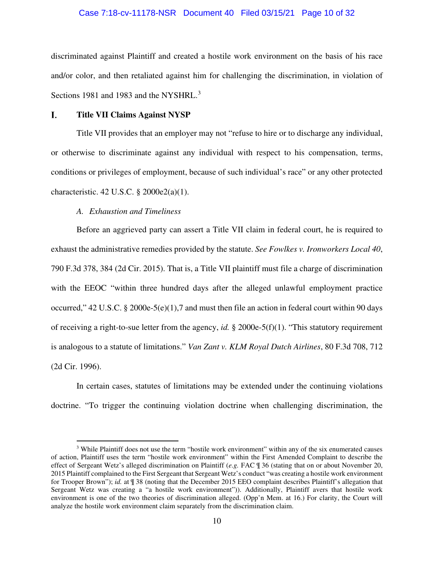#### Case 7:18-cv-11178-NSR Document 40 Filed 03/15/21 Page 10 of 32

discriminated against Plaintiff and created a hostile work environment on the basis of his race and/or color, and then retaliated against him for challenging the discrimination, in violation of Sections 1981 and 1983 and the NYSHRL.<sup>3</sup>

#### L. **Title VII Claims Against NYSP**

Title VII provides that an employer may not "refuse to hire or to discharge any individual, or otherwise to discriminate against any individual with respect to his compensation, terms, conditions or privileges of employment, because of such individual's race" or any other protected characteristic. 42 U.S.C. § 2000e2(a)(1).

### *A. Exhaustion and Timeliness*

Before an aggrieved party can assert a Title VII claim in federal court, he is required to exhaust the administrative remedies provided by the statute. *See Fowlkes v. Ironworkers Local 40*, 790 F.3d 378, 384 (2d Cir. 2015). That is, a Title VII plaintiff must file a charge of discrimination with the EEOC "within three hundred days after the alleged unlawful employment practice occurred," 42 U.S.C. § 2000e-5(e)(1),7 and must then file an action in federal court within 90 days of receiving a right-to-sue letter from the agency, *id.* § 2000e-5(f)(1). "This statutory requirement is analogous to a statute of limitations." *Van Zant v. KLM Royal Dutch Airlines*, 80 F.3d 708, 712 (2d Cir. 1996).

In certain cases, statutes of limitations may be extended under the continuing violations doctrine. "To trigger the continuing violation doctrine when challenging discrimination, the

<sup>&</sup>lt;sup>3</sup> While Plaintiff does not use the term "hostile work environment" within any of the six enumerated causes of action, Plaintiff uses the term "hostile work environment" within the First Amended Complaint to describe the effect of Sergeant Wetz's alleged discrimination on Plaintiff (*e.g.* FAC ¶ 36 (stating that on or about November 20, 2015 Plaintiff complained to the First Sergeant that Sergeant Wetz's conduct "was creating a hostile work environment for Trooper Brown"); *id.* at ¶ 38 (noting that the December 2015 EEO complaint describes Plaintiff's allegation that Sergeant Wetz was creating a "a hostile work environment")). Additionally, Plaintiff avers that hostile work environment is one of the two theories of discrimination alleged. (Opp'n Mem. at 16.) For clarity, the Court will analyze the hostile work environment claim separately from the discrimination claim.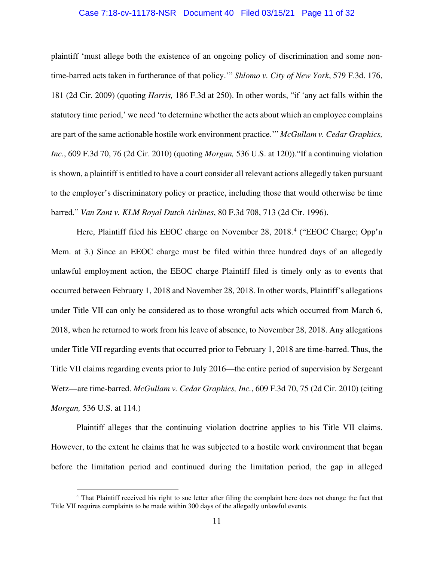### Case 7:18-cv-11178-NSR Document 40 Filed 03/15/21 Page 11 of 32

plaintiff 'must allege both the existence of an ongoing policy of discrimination and some nontime-barred acts taken in furtherance of that policy.'" *Shlomo v. City of New York*, 579 F.3d. 176, 181 (2d Cir. 2009) (quoting *Harris,* 186 F.3d at 250). In other words, "if 'any act falls within the statutory time period,' we need 'to determine whether the acts about which an employee complains are part of the same actionable hostile work environment practice.'" *McGullam v. Cedar Graphics, Inc.*, 609 F.3d 70, 76 (2d Cir. 2010) (quoting *Morgan,* 536 U.S. at 120))."If a continuing violation is shown, a plaintiff is entitled to have a court consider all relevant actions allegedly taken pursuant to the employer's discriminatory policy or practice, including those that would otherwise be time barred." *Van Zant v. KLM Royal Dutch Airlines*, 80 F.3d 708, 713 (2d Cir. 1996).

Here, Plaintiff filed his EEOC charge on November 28, 2018.<sup>4</sup> ("EEOC Charge; Opp'n Mem. at 3.) Since an EEOC charge must be filed within three hundred days of an allegedly unlawful employment action, the EEOC charge Plaintiff filed is timely only as to events that occurred between February 1, 2018 and November 28, 2018. In other words, Plaintiff's allegations under Title VII can only be considered as to those wrongful acts which occurred from March 6, 2018, when he returned to work from his leave of absence, to November 28, 2018. Any allegations under Title VII regarding events that occurred prior to February 1, 2018 are time-barred. Thus, the Title VII claims regarding events prior to July 2016—the entire period of supervision by Sergeant Wetz—are time-barred. *McGullam v. Cedar Graphics, Inc.*, 609 F.3d 70, 75 (2d Cir. 2010) (citing *Morgan,* 536 U.S. at 114.)

Plaintiff alleges that the continuing violation doctrine applies to his Title VII claims. However, to the extent he claims that he was subjected to a hostile work environment that began before the limitation period and continued during the limitation period, the gap in alleged

<sup>&</sup>lt;sup>4</sup> That Plaintiff received his right to sue letter after filing the complaint here does not change the fact that Title VII requires complaints to be made within 300 days of the allegedly unlawful events.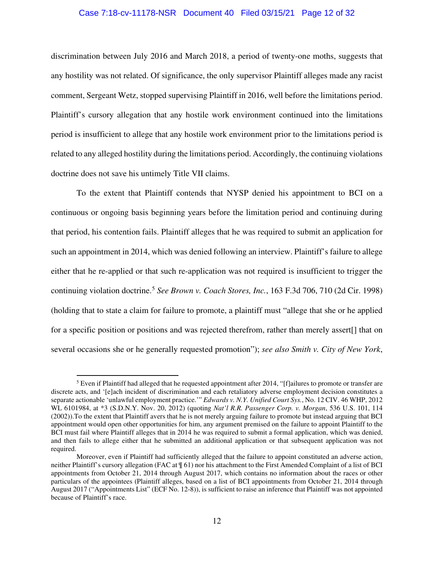#### Case 7:18-cv-11178-NSR Document 40 Filed 03/15/21 Page 12 of 32

discrimination between July 2016 and March 2018, a period of twenty-one moths, suggests that any hostility was not related. Of significance, the only supervisor Plaintiff alleges made any racist comment, Sergeant Wetz, stopped supervising Plaintiff in 2016, well before the limitations period. Plaintiff's cursory allegation that any hostile work environment continued into the limitations period is insufficient to allege that any hostile work environment prior to the limitations period is related to any alleged hostility during the limitations period. Accordingly, the continuing violations doctrine does not save his untimely Title VII claims.

To the extent that Plaintiff contends that NYSP denied his appointment to BCI on a continuous or ongoing basis beginning years before the limitation period and continuing during that period, his contention fails. Plaintiff alleges that he was required to submit an application for such an appointment in 2014, which was denied following an interview. Plaintiff's failure to allege either that he re-applied or that such re-application was not required is insufficient to trigger the continuing violation doctrine.<sup>5</sup> *See Brown v. Coach Stores, Inc.*, 163 F.3d 706, 710 (2d Cir. 1998) (holding that to state a claim for failure to promote, a plaintiff must "allege that she or he applied for a specific position or positions and was rejected therefrom, rather than merely assert[] that on several occasions she or he generally requested promotion"); *see also Smith v. City of New York*,

<sup>&</sup>lt;sup>5</sup> Even if Plaintiff had alleged that he requested appointment after 2014, "[f]ailures to promote or transfer are discrete acts, and '[e]ach incident of discrimination and each retaliatory adverse employment decision constitutes a separate actionable 'unlawful employment practice.'" *Edwards v. N.Y. Unified Court Sys.*, No. 12 CIV. 46 WHP, 2012 WL 6101984, at \*3 (S.D.N.Y. Nov. 20, 2012) (quoting *Nat'l R.R. Passenger Corp. v. Morgan*, 536 U.S. 101, 114 (2002)).To the extent that Plaintiff avers that he is not merely arguing failure to promote but instead arguing that BCI appointment would open other opportunities for him, any argument premised on the failure to appoint Plaintiff to the BCI must fail where Plaintiff alleges that in 2014 he was required to submit a formal application, which was denied, and then fails to allege either that he submitted an additional application or that subsequent application was not required.

Moreover, even if Plaintiff had sufficiently alleged that the failure to appoint constituted an adverse action, neither Plaintiff's cursory allegation (FAC at ¶ 61) nor his attachment to the First Amended Complaint of a list of BCI appointments from October 21, 2014 through August 2017, which contains no information about the races or other particulars of the appointees (Plaintiff alleges, based on a list of BCI appointments from October 21, 2014 through August 2017 ("Appointments List" (ECF No. 12-8)), is sufficient to raise an inference that Plaintiff was not appointed because of Plaintiff's race.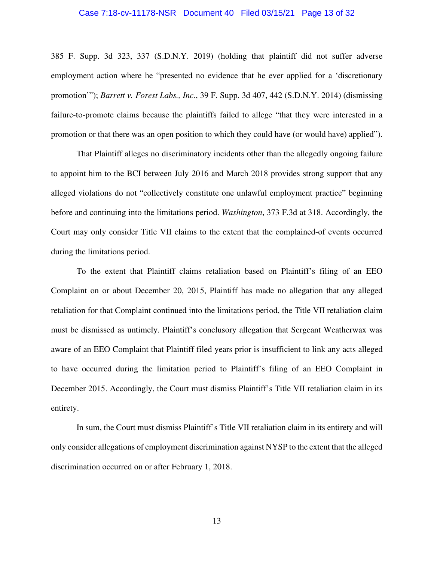#### Case 7:18-cv-11178-NSR Document 40 Filed 03/15/21 Page 13 of 32

385 F. Supp. 3d 323, 337 (S.D.N.Y. 2019) (holding that plaintiff did not suffer adverse employment action where he "presented no evidence that he ever applied for a 'discretionary promotion'"); *Barrett v. Forest Labs., Inc.*, 39 F. Supp. 3d 407, 442 (S.D.N.Y. 2014) (dismissing failure-to-promote claims because the plaintiffs failed to allege "that they were interested in a promotion or that there was an open position to which they could have (or would have) applied").

That Plaintiff alleges no discriminatory incidents other than the allegedly ongoing failure to appoint him to the BCI between July 2016 and March 2018 provides strong support that any alleged violations do not "collectively constitute one unlawful employment practice" beginning before and continuing into the limitations period. *Washington*, 373 F.3d at 318. Accordingly, the Court may only consider Title VII claims to the extent that the complained-of events occurred during the limitations period.

To the extent that Plaintiff claims retaliation based on Plaintiff's filing of an EEO Complaint on or about December 20, 2015, Plaintiff has made no allegation that any alleged retaliation for that Complaint continued into the limitations period, the Title VII retaliation claim must be dismissed as untimely. Plaintiff's conclusory allegation that Sergeant Weatherwax was aware of an EEO Complaint that Plaintiff filed years prior is insufficient to link any acts alleged to have occurred during the limitation period to Plaintiff's filing of an EEO Complaint in December 2015. Accordingly, the Court must dismiss Plaintiff's Title VII retaliation claim in its entirety.

In sum, the Court must dismiss Plaintiff's Title VII retaliation claim in its entirety and will only consider allegations of employment discrimination against NYSP to the extent that the alleged discrimination occurred on or after February 1, 2018.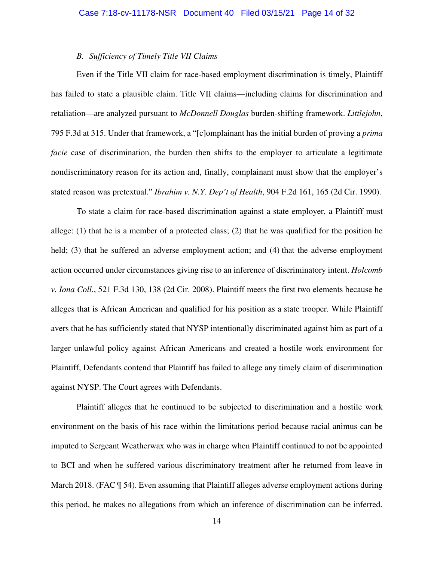#### *B. Sufficiency of Timely Title VII Claims*

Even if the Title VII claim for race-based employment discrimination is timely, Plaintiff has failed to state a plausible claim. Title VII claims—including claims for discrimination and retaliation—are analyzed pursuant to *McDonnell Douglas* burden-shifting framework. *Littlejohn*, 795 F.3d at 315. Under that framework, a "[c]omplainant has the initial burden of proving a *prima facie* case of discrimination, the burden then shifts to the employer to articulate a legitimate nondiscriminatory reason for its action and, finally, complainant must show that the employer's stated reason was pretextual." *Ibrahim v. N.Y. Dep't of Health*, 904 F.2d 161, 165 (2d Cir. 1990).

To state a claim for race-based discrimination against a state employer, a Plaintiff must allege: (1) that he is a member of a protected class; (2) that he was qualified for the position he held; (3) that he suffered an adverse employment action; and (4) that the adverse employment action occurred under circumstances giving rise to an inference of discriminatory intent. *Holcomb v. Iona Coll.*, 521 F.3d 130, 138 (2d Cir. 2008). Plaintiff meets the first two elements because he alleges that is African American and qualified for his position as a state trooper. While Plaintiff avers that he has sufficiently stated that NYSP intentionally discriminated against him as part of a larger unlawful policy against African Americans and created a hostile work environment for Plaintiff, Defendants contend that Plaintiff has failed to allege any timely claim of discrimination against NYSP. The Court agrees with Defendants.

Plaintiff alleges that he continued to be subjected to discrimination and a hostile work environment on the basis of his race within the limitations period because racial animus can be imputed to Sergeant Weatherwax who was in charge when Plaintiff continued to not be appointed to BCI and when he suffered various discriminatory treatment after he returned from leave in March 2018. (FAC  $\P$  54). Even assuming that Plaintiff alleges adverse employment actions during this period, he makes no allegations from which an inference of discrimination can be inferred.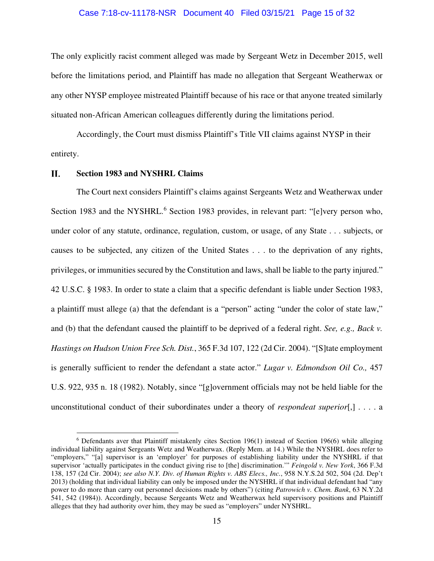#### Case 7:18-cv-11178-NSR Document 40 Filed 03/15/21 Page 15 of 32

The only explicitly racist comment alleged was made by Sergeant Wetz in December 2015, well before the limitations period, and Plaintiff has made no allegation that Sergeant Weatherwax or any other NYSP employee mistreated Plaintiff because of his race or that anyone treated similarly situated non-African American colleagues differently during the limitations period.

Accordingly, the Court must dismiss Plaintiff's Title VII claims against NYSP in their entirety.

#### П. **Section 1983 and NYSHRL Claims**

The Court next considers Plaintiff's claims against Sergeants Wetz and Weatherwax under Section 1983 and the NYSHRL.<sup>6</sup> Section 1983 provides, in relevant part: "[e]very person who, under color of any statute, ordinance, regulation, custom, or usage, of any State . . . subjects, or causes to be subjected, any citizen of the United States . . . to the deprivation of any rights, privileges, or immunities secured by the Constitution and laws, shall be liable to the party injured." 42 U.S.C. § 1983. In order to state a claim that a specific defendant is liable under Section 1983, a plaintiff must allege (a) that the defendant is a "person" acting "under the color of state law," and (b) that the defendant caused the plaintiff to be deprived of a federal right. *See, e.g., Back v. Hastings on Hudson Union Free Sch. Dist.*, 365 F.3d 107, 122 (2d Cir. 2004). "[S]tate employment is generally sufficient to render the defendant a state actor." *Lugar v. Edmondson Oil Co.,* 457 U.S. 922, 935 n. 18 (1982). Notably, since "[g]overnment officials may not be held liable for the unconstitutional conduct of their subordinates under a theory of *respondeat superior*[,] . . . . a

 $6$  Defendants aver that Plaintiff mistakenly cites Section 196(1) instead of Section 196(6) while alleging individual liability against Sergeants Wetz and Weatherwax. (Reply Mem. at 14.) While the NYSHRL does refer to "employers," "[a] supervisor is an 'employer' for purposes of establishing liability under the NYSHRL if that supervisor 'actually participates in the conduct giving rise to [the] discrimination.'" *Feingold v. New York*, 366 F.3d 138, 157 (2d Cir. 2004); *see also N.Y. Div. of Human Rights v. ABS Elecs., Inc.*, 958 N.Y.S.2d 502, 504 (2d. Dep't 2013) (holding that individual liability can only be imposed under the NYSHRL if that individual defendant had "any power to do more than carry out personnel decisions made by others") (citing *Patrowich v. Chem. Bank*, 63 N.Y.2d 541, 542 (1984)). Accordingly, because Sergeants Wetz and Weatherwax held supervisory positions and Plaintiff alleges that they had authority over him, they may be sued as "employers" under NYSHRL.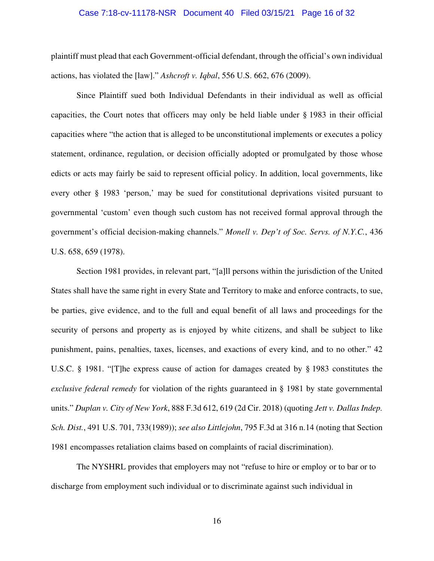#### Case 7:18-cv-11178-NSR Document 40 Filed 03/15/21 Page 16 of 32

plaintiff must plead that each Government-official defendant, through the official's own individual actions, has violated the [law]." *Ashcroft v. Iqbal*, 556 U.S. 662, 676 (2009).

Since Plaintiff sued both Individual Defendants in their individual as well as official capacities, the Court notes that officers may only be held liable under § 1983 in their official capacities where "the action that is alleged to be unconstitutional implements or executes a policy statement, ordinance, regulation, or decision officially adopted or promulgated by those whose edicts or acts may fairly be said to represent official policy. In addition, local governments, like every other § 1983 'person,' may be sued for constitutional deprivations visited pursuant to governmental 'custom' even though such custom has not received formal approval through the government's official decision-making channels." *Monell v. Dep't of Soc. Servs. of N.Y.C.*, 436 U.S. 658, 659 (1978).

Section 1981 provides, in relevant part, "[a]ll persons within the jurisdiction of the United States shall have the same right in every State and Territory to make and enforce contracts, to sue, be parties, give evidence, and to the full and equal benefit of all laws and proceedings for the security of persons and property as is enjoyed by white citizens, and shall be subject to like punishment, pains, penalties, taxes, licenses, and exactions of every kind, and to no other." 42 U.S.C. § 1981. "[T]he express cause of action for damages created by § 1983 constitutes the *exclusive federal remedy* for violation of the rights guaranteed in § 1981 by state governmental units." *Duplan v. City of New York*, 888 F.3d 612, 619 (2d Cir. 2018) (quoting *Jett v. Dallas Indep. Sch. Dist.*, 491 U.S. 701, 733(1989)); *see also Littlejohn*, 795 F.3d at 316 n.14 (noting that Section 1981 encompasses retaliation claims based on complaints of racial discrimination).

The NYSHRL provides that employers may not "refuse to hire or employ or to bar or to discharge from employment such individual or to discriminate against such individual in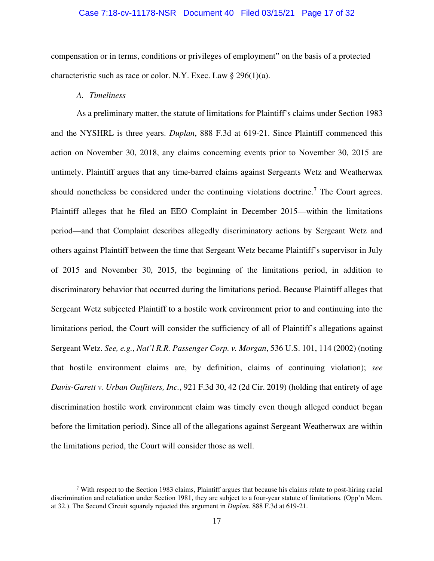### Case 7:18-cv-11178-NSR Document 40 Filed 03/15/21 Page 17 of 32

compensation or in terms, conditions or privileges of employment" on the basis of a protected characteristic such as race or color. N.Y. Exec. Law  $\S 296(1)(a)$ .

*A. Timeliness*

As a preliminary matter, the statute of limitations for Plaintiff's claims under Section 1983 and the NYSHRL is three years. *Duplan*, 888 F.3d at 619-21. Since Plaintiff commenced this action on November 30, 2018, any claims concerning events prior to November 30, 2015 are untimely. Plaintiff argues that any time-barred claims against Sergeants Wetz and Weatherwax should nonetheless be considered under the continuing violations doctrine.<sup>7</sup> The Court agrees. Plaintiff alleges that he filed an EEO Complaint in December 2015—within the limitations period—and that Complaint describes allegedly discriminatory actions by Sergeant Wetz and others against Plaintiff between the time that Sergeant Wetz became Plaintiff's supervisor in July of 2015 and November 30, 2015, the beginning of the limitations period, in addition to discriminatory behavior that occurred during the limitations period. Because Plaintiff alleges that Sergeant Wetz subjected Plaintiff to a hostile work environment prior to and continuing into the limitations period, the Court will consider the sufficiency of all of Plaintiff's allegations against Sergeant Wetz. *See, e.g.*, *Nat'l R.R. Passenger Corp. v. Morgan*, 536 U.S. 101, 114 (2002) (noting that hostile environment claims are, by definition, claims of continuing violation); *see Davis-Garett v. Urban Outfitters, Inc.*, 921 F.3d 30, 42 (2d Cir. 2019) (holding that entirety of age discrimination hostile work environment claim was timely even though alleged conduct began before the limitation period). Since all of the allegations against Sergeant Weatherwax are within the limitations period, the Court will consider those as well.

<sup>7</sup> With respect to the Section 1983 claims, Plaintiff argues that because his claims relate to post-hiring racial discrimination and retaliation under Section 1981, they are subject to a four-year statute of limitations. (Opp'n Mem. at 32.). The Second Circuit squarely rejected this argument in *Duplan*. 888 F.3d at 619-21.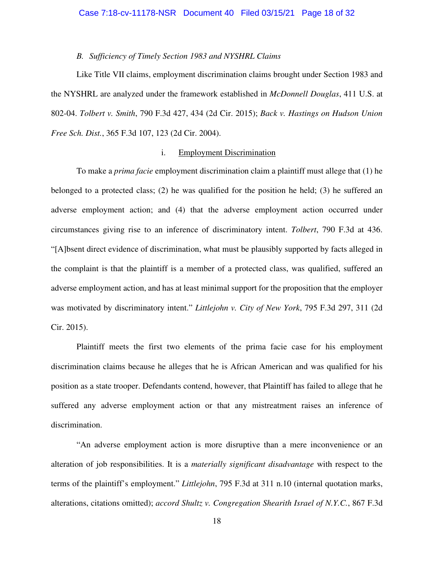*B. Sufficiency of Timely Section 1983 and NYSHRL Claims* 

Like Title VII claims, employment discrimination claims brought under Section 1983 and the NYSHRL are analyzed under the framework established in *McDonnell Douglas*, 411 U.S. at 802-04. *Tolbert v. Smith*, 790 F.3d 427, 434 (2d Cir. 2015); *Back v. Hastings on Hudson Union Free Sch. Dist.*, 365 F.3d 107, 123 (2d Cir. 2004).

# i. Employment Discrimination

To make a *prima facie* employment discrimination claim a plaintiff must allege that (1) he belonged to a protected class; (2) he was qualified for the position he held; (3) he suffered an adverse employment action; and (4) that the adverse employment action occurred under circumstances giving rise to an inference of discriminatory intent. *Tolbert*, 790 F.3d at 436. "[A]bsent direct evidence of discrimination, what must be plausibly supported by facts alleged in the complaint is that the plaintiff is a member of a protected class, was qualified, suffered an adverse employment action, and has at least minimal support for the proposition that the employer was motivated by discriminatory intent." *Littlejohn v. City of New York*, 795 F.3d 297, 311 (2d Cir. 2015).

Plaintiff meets the first two elements of the prima facie case for his employment discrimination claims because he alleges that he is African American and was qualified for his position as a state trooper. Defendants contend, however, that Plaintiff has failed to allege that he suffered any adverse employment action or that any mistreatment raises an inference of discrimination.

"An adverse employment action is more disruptive than a mere inconvenience or an alteration of job responsibilities. It is a *materially significant disadvantage* with respect to the terms of the plaintiff's employment." *Littlejohn*, 795 F.3d at 311 n.10 (internal quotation marks, alterations, citations omitted); *accord Shultz v. Congregation Shearith Israel of N.Y.C.*, 867 F.3d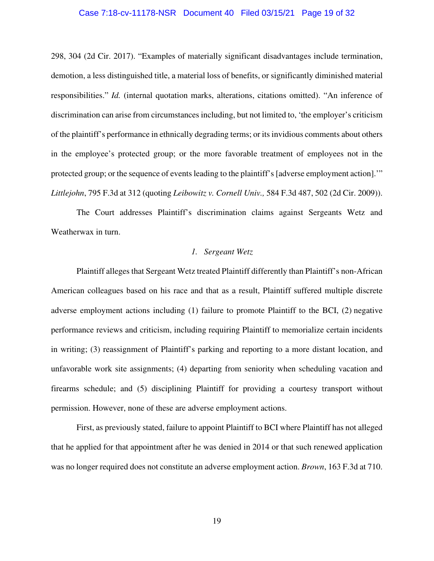#### Case 7:18-cv-11178-NSR Document 40 Filed 03/15/21 Page 19 of 32

298, 304 (2d Cir. 2017). "Examples of materially significant disadvantages include termination, demotion, a less distinguished title, a material loss of benefits, or significantly diminished material responsibilities." *Id.* (internal quotation marks, alterations, citations omitted). "An inference of discrimination can arise from circumstances including, but not limited to, 'the employer's criticism of the plaintiff's performance in ethnically degrading terms; or its invidious comments about others in the employee's protected group; or the more favorable treatment of employees not in the protected group; or the sequence of events leading to the plaintiff's [adverse employment action].'" *Littlejohn*, 795 F.3d at 312 (quoting *Leibowitz v. Cornell Univ.,* 584 F.3d 487, 502 (2d Cir. 2009)).

The Court addresses Plaintiff's discrimination claims against Sergeants Wetz and Weatherwax in turn.

# *1. Sergeant Wetz*

Plaintiff alleges that Sergeant Wetz treated Plaintiff differently than Plaintiff's non-African American colleagues based on his race and that as a result, Plaintiff suffered multiple discrete adverse employment actions including (1) failure to promote Plaintiff to the BCI, (2) negative performance reviews and criticism, including requiring Plaintiff to memorialize certain incidents in writing; (3) reassignment of Plaintiff's parking and reporting to a more distant location, and unfavorable work site assignments; (4) departing from seniority when scheduling vacation and firearms schedule; and (5) disciplining Plaintiff for providing a courtesy transport without permission. However, none of these are adverse employment actions.

First, as previously stated, failure to appoint Plaintiff to BCI where Plaintiff has not alleged that he applied for that appointment after he was denied in 2014 or that such renewed application was no longer required does not constitute an adverse employment action. *Brown*, 163 F.3d at 710.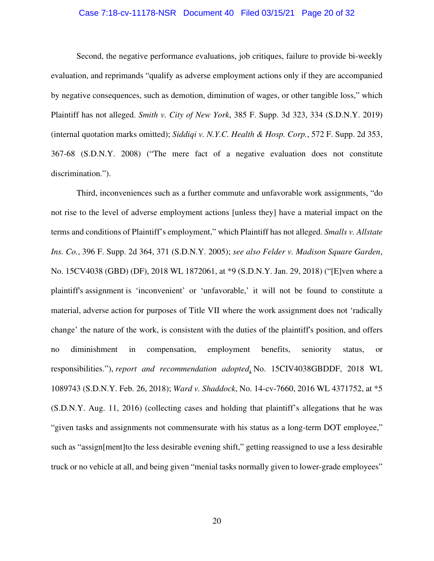### Case 7:18-cv-11178-NSR Document 40 Filed 03/15/21 Page 20 of 32

Second, the negative performance evaluations, job critiques, failure to provide bi-weekly evaluation, and reprimands "qualify as adverse employment actions only if they are accompanied by negative consequences, such as demotion, diminution of wages, or other tangible loss," which Plaintiff has not alleged. *Smith v. City of New York*, 385 F. Supp. 3d 323, 334 (S.D.N.Y. 2019) (internal quotation marks omitted); *Siddiqi v. N.Y.C. Health & Hosp. Corp.*, 572 F. Supp. 2d 353, 367-68 (S.D.N.Y. 2008) ("The mere fact of a negative evaluation does not constitute discrimination.").

Third, inconveniences such as a further commute and unfavorable work assignments, "do not rise to the level of adverse employment actions [unless they] have a material impact on the terms and conditions of Plaintiff's employment," which Plaintiff has not alleged. *Smalls v. Allstate Ins. Co.*, 396 F. Supp. 2d 364, 371 (S.D.N.Y. 2005); *see also Felder v. Madison Square Garden*, No. 15CV4038 (GBD) (DF), 2018 WL 1872061, at \*9 (S.D.N.Y. Jan. 29, 2018) ("[E]ven where a plaintiff's assignment is 'inconvenient' or 'unfavorable,' it will not be found to constitute a material, adverse action for purposes of Title VII where the work assignment does not 'radically change' the nature of the work, is consistent with the duties of the plaintiff's position, and offers no diminishment in compensation, employment benefits, seniority status, or responsibilities."), *report and recommendation adopted*, No. 15CIV4038GBDDF, 2018 WL 1089743 (S.D.N.Y. Feb. 26, 2018); *Ward v. Shaddock*, No. 14-cv-7660, 2016 WL 4371752, at \*5 (S.D.N.Y. Aug. 11, 2016) (collecting cases and holding that plaintiff's allegations that he was "given tasks and assignments not commensurate with his status as a long-term DOT employee," such as "assign[ment]to the less desirable evening shift," getting reassigned to use a less desirable truck or no vehicle at all, and being given "menial tasks normally given to lower-grade employees"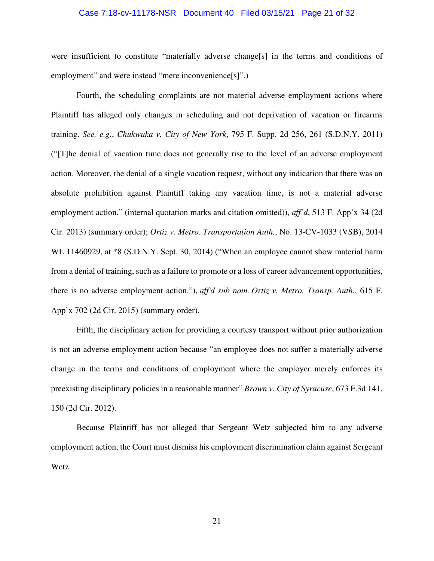#### Case 7:18-cv-11178-NSR Document 40 Filed 03/15/21 Page 21 of 32

were insufficient to constitute "materially adverse change[s] in the terms and conditions of employment" and were instead "mere inconvenience[s]".)

Fourth, the scheduling complaints are not material adverse employment actions where Plaintiff has alleged only changes in scheduling and not deprivation of vacation or firearms training. *See, e.g.*, *Chukwuka v. City of New York*, 795 F. Supp. 2d 256, 261 (S.D.N.Y. 2011) ("[T]he denial of vacation time does not generally rise to the level of an adverse employment action. Moreover, the denial of a single vacation request, without any indication that there was an absolute prohibition against Plaintiff taking any vacation time, is not a material adverse employment action." (internal quotation marks and citation omitted)), *aff'd*, 513 F. App'x 34 (2d Cir. 2013) (summary order); *Ortiz v. Metro. Transportation Auth.*, No. 13-CV-1033 (VSB), 2014 WL 11460929, at  $*8$  (S.D.N.Y. Sept. 30, 2014) ("When an employee cannot show material harm from a denial of training, such as a failure to promote or a loss of career advancement opportunities, there is no adverse employment action."), *aff'd sub nom. Ortiz v. Metro. Transp. Auth.*, 615 F. App'x 702 (2d Cir. 2015) (summary order).

Fifth, the disciplinary action for providing a courtesy transport without prior authorization is not an adverse employment action because "an employee does not suffer a materially adverse change in the terms and conditions of employment where the employer merely enforces its preexisting disciplinary policies in a reasonable manner" *Brown v. City of Syracuse*, 673 F.3d 141, 150 (2d Cir. 2012).

Because Plaintiff has not alleged that Sergeant Wetz subjected him to any adverse employment action, the Court must dismiss his employment discrimination claim against Sergeant Wetz.

21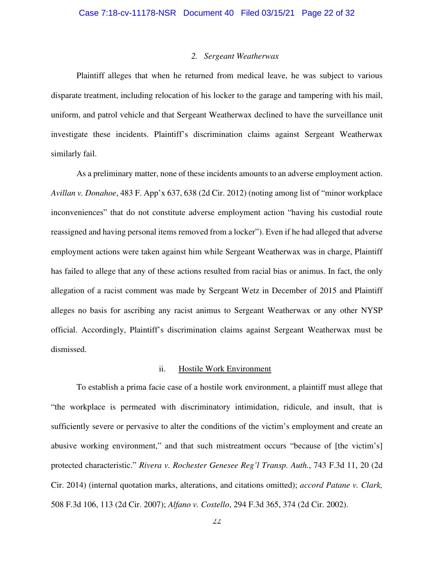#### *2. Sergeant Weatherwax*

Plaintiff alleges that when he returned from medical leave, he was subject to various disparate treatment, including relocation of his locker to the garage and tampering with his mail, uniform, and patrol vehicle and that Sergeant Weatherwax declined to have the surveillance unit investigate these incidents. Plaintiff's discrimination claims against Sergeant Weatherwax similarly fail.

As a preliminary matter, none of these incidents amounts to an adverse employment action. *Avillan v. Donahoe*, 483 F. App'x 637, 638 (2d Cir. 2012) (noting among list of "minor workplace inconveniences" that do not constitute adverse employment action "having his custodial route reassigned and having personal items removed from a locker"). Even if he had alleged that adverse employment actions were taken against him while Sergeant Weatherwax was in charge, Plaintiff has failed to allege that any of these actions resulted from racial bias or animus. In fact, the only allegation of a racist comment was made by Sergeant Wetz in December of 2015 and Plaintiff alleges no basis for ascribing any racist animus to Sergeant Weatherwax or any other NYSP official. Accordingly, Plaintiff's discrimination claims against Sergeant Weatherwax must be dismissed.

#### ii. Hostile Work Environment

To establish a prima facie case of a hostile work environment, a plaintiff must allege that "the workplace is permeated with discriminatory intimidation, ridicule, and insult, that is sufficiently severe or pervasive to alter the conditions of the victim's employment and create an abusive working environment," and that such mistreatment occurs "because of [the victim's] protected characteristic." *Rivera v. Rochester Genesee Reg'l Transp. Auth.*, 743 F.3d 11, 20 (2d Cir. 2014) (internal quotation marks, alterations, and citations omitted); *accord Patane v. Clark,* 508 F.3d 106, 113 (2d Cir. 2007); *Alfano v. Costello*, 294 F.3d 365, 374 (2d Cir. 2002).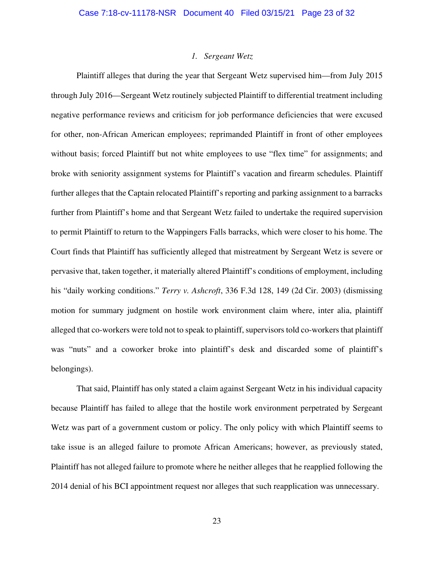#### *1. Sergeant Wetz*

Plaintiff alleges that during the year that Sergeant Wetz supervised him—from July 2015 through July 2016—Sergeant Wetz routinely subjected Plaintiff to differential treatment including negative performance reviews and criticism for job performance deficiencies that were excused for other, non-African American employees; reprimanded Plaintiff in front of other employees without basis; forced Plaintiff but not white employees to use "flex time" for assignments; and broke with seniority assignment systems for Plaintiff's vacation and firearm schedules. Plaintiff further alleges that the Captain relocated Plaintiff's reporting and parking assignment to a barracks further from Plaintiff's home and that Sergeant Wetz failed to undertake the required supervision to permit Plaintiff to return to the Wappingers Falls barracks, which were closer to his home. The Court finds that Plaintiff has sufficiently alleged that mistreatment by Sergeant Wetz is severe or pervasive that, taken together, it materially altered Plaintiff's conditions of employment, including his "daily working conditions." *Terry v. Ashcroft*, 336 F.3d 128, 149 (2d Cir. 2003) (dismissing motion for summary judgment on hostile work environment claim where, inter alia, plaintiff alleged that co-workers were told not to speak to plaintiff, supervisors told co-workers that plaintiff was "nuts" and a coworker broke into plaintiff's desk and discarded some of plaintiff's belongings).

That said, Plaintiff has only stated a claim against Sergeant Wetz in his individual capacity because Plaintiff has failed to allege that the hostile work environment perpetrated by Sergeant Wetz was part of a government custom or policy. The only policy with which Plaintiff seems to take issue is an alleged failure to promote African Americans; however, as previously stated, Plaintiff has not alleged failure to promote where he neither alleges that he reapplied following the 2014 denial of his BCI appointment request nor alleges that such reapplication was unnecessary.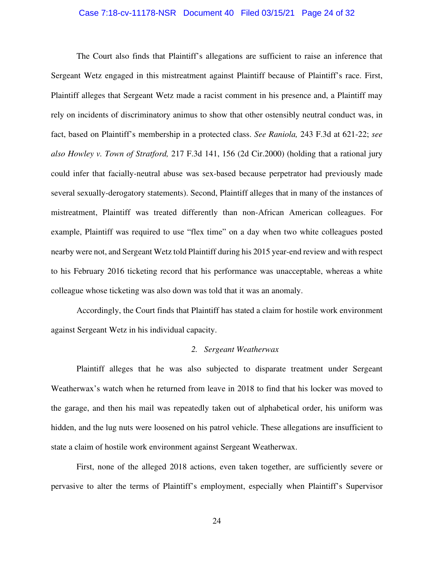#### Case 7:18-cv-11178-NSR Document 40 Filed 03/15/21 Page 24 of 32

The Court also finds that Plaintiff's allegations are sufficient to raise an inference that Sergeant Wetz engaged in this mistreatment against Plaintiff because of Plaintiff's race. First, Plaintiff alleges that Sergeant Wetz made a racist comment in his presence and, a Plaintiff may rely on incidents of discriminatory animus to show that other ostensibly neutral conduct was, in fact, based on Plaintiff's membership in a protected class. *See Raniola,* 243 F.3d at 621-22; *see also Howley v. Town of Stratford,* 217 F.3d 141, 156 (2d Cir.2000) (holding that a rational jury could infer that facially-neutral abuse was sex-based because perpetrator had previously made several sexually-derogatory statements). Second, Plaintiff alleges that in many of the instances of mistreatment, Plaintiff was treated differently than non-African American colleagues. For example, Plaintiff was required to use "flex time" on a day when two white colleagues posted nearby were not, and Sergeant Wetz told Plaintiff during his 2015 year-end review and with respect to his February 2016 ticketing record that his performance was unacceptable, whereas a white colleague whose ticketing was also down was told that it was an anomaly.

Accordingly, the Court finds that Plaintiff has stated a claim for hostile work environment against Sergeant Wetz in his individual capacity.

#### *2. Sergeant Weatherwax*

Plaintiff alleges that he was also subjected to disparate treatment under Sergeant Weatherwax's watch when he returned from leave in 2018 to find that his locker was moved to the garage, and then his mail was repeatedly taken out of alphabetical order, his uniform was hidden, and the lug nuts were loosened on his patrol vehicle. These allegations are insufficient to state a claim of hostile work environment against Sergeant Weatherwax.

First, none of the alleged 2018 actions, even taken together, are sufficiently severe or pervasive to alter the terms of Plaintiff's employment, especially when Plaintiff's Supervisor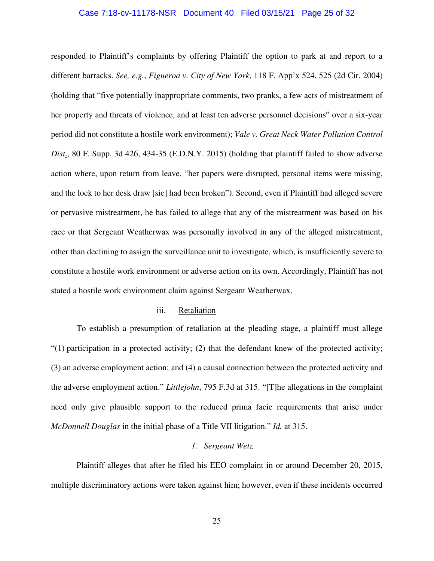#### Case 7:18-cv-11178-NSR Document 40 Filed 03/15/21 Page 25 of 32

responded to Plaintiff's complaints by offering Plaintiff the option to park at and report to a different barracks. *See, e.g.*, *Figueroa v. City of New York*, 118 F. App'x 524, 525 (2d Cir. 2004) (holding that "five potentially inappropriate comments, two pranks, a few acts of mistreatment of her property and threats of violence, and at least ten adverse personnel decisions" over a six-year period did not constitute a hostile work environment); *Vale v. Great Neck Water Pollution Control Dist*., 80 F. Supp. 3d 426, 434-35 (E.D.N.Y. 2015) (holding that plaintiff failed to show adverse action where, upon return from leave, "her papers were disrupted, personal items were missing, and the lock to her desk draw [sic] had been broken"). Second, even if Plaintiff had alleged severe or pervasive mistreatment, he has failed to allege that any of the mistreatment was based on his race or that Sergeant Weatherwax was personally involved in any of the alleged mistreatment, other than declining to assign the surveillance unit to investigate, which, is insufficiently severe to constitute a hostile work environment or adverse action on its own. Accordingly, Plaintiff has not stated a hostile work environment claim against Sergeant Weatherwax.

### iii. Retaliation

To establish a presumption of retaliation at the pleading stage, a plaintiff must allege "(1) participation in a protected activity; (2) that the defendant knew of the protected activity; (3) an adverse employment action; and (4) a causal connection between the protected activity and the adverse employment action." *Littlejohn*, 795 F.3d at 315. "[T]he allegations in the complaint need only give plausible support to the reduced prima facie requirements that arise under *McDonnell Douglas* in the initial phase of a Title VII litigation." *Id.* at 315.

## *1. Sergeant Wetz*

Plaintiff alleges that after he filed his EEO complaint in or around December 20, 2015, multiple discriminatory actions were taken against him; however, even if these incidents occurred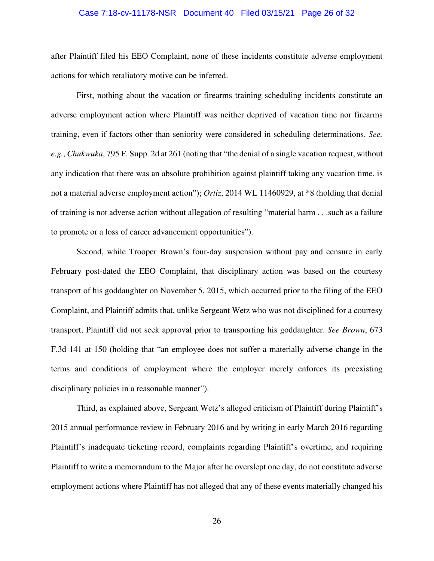#### Case 7:18-cv-11178-NSR Document 40 Filed 03/15/21 Page 26 of 32

after Plaintiff filed his EEO Complaint, none of these incidents constitute adverse employment actions for which retaliatory motive can be inferred.

First, nothing about the vacation or firearms training scheduling incidents constitute an adverse employment action where Plaintiff was neither deprived of vacation time nor firearms training, even if factors other than seniority were considered in scheduling determinations. *See, e.g.*, *Chukwuka*, 795 F. Supp. 2d at 261 (noting that "the denial of a single vacation request, without any indication that there was an absolute prohibition against plaintiff taking any vacation time, is not a material adverse employment action"); *Ortiz*, 2014 WL 11460929, at \*8 (holding that denial of training is not adverse action without allegation of resulting "material harm . . .such as a failure to promote or a loss of career advancement opportunities").

Second, while Trooper Brown's four-day suspension without pay and censure in early February post-dated the EEO Complaint, that disciplinary action was based on the courtesy transport of his goddaughter on November 5, 2015, which occurred prior to the filing of the EEO Complaint, and Plaintiff admits that, unlike Sergeant Wetz who was not disciplined for a courtesy transport, Plaintiff did not seek approval prior to transporting his goddaughter. *See Brown*, 673 F.3d 141 at 150 (holding that "an employee does not suffer a materially adverse change in the terms and conditions of employment where the employer merely enforces its preexisting disciplinary policies in a reasonable manner").

Third, as explained above, Sergeant Wetz's alleged criticism of Plaintiff during Plaintiff's 2015 annual performance review in February 2016 and by writing in early March 2016 regarding Plaintiff's inadequate ticketing record, complaints regarding Plaintiff's overtime, and requiring Plaintiff to write a memorandum to the Major after he overslept one day, do not constitute adverse employment actions where Plaintiff has not alleged that any of these events materially changed his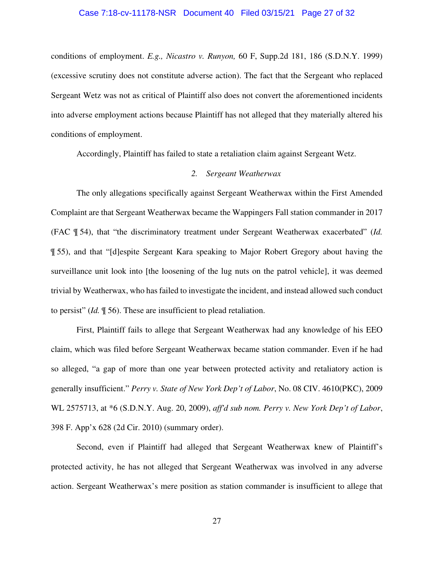#### Case 7:18-cv-11178-NSR Document 40 Filed 03/15/21 Page 27 of 32

conditions of employment. *E.g., Nicastro v. Runyon,* 60 F, Supp.2d 181, 186 (S.D.N.Y. 1999) (excessive scrutiny does not constitute adverse action). The fact that the Sergeant who replaced Sergeant Wetz was not as critical of Plaintiff also does not convert the aforementioned incidents into adverse employment actions because Plaintiff has not alleged that they materially altered his conditions of employment.

Accordingly, Plaintiff has failed to state a retaliation claim against Sergeant Wetz.

#### *2. Sergeant Weatherwax*

The only allegations specifically against Sergeant Weatherwax within the First Amended Complaint are that Sergeant Weatherwax became the Wappingers Fall station commander in 2017 (FAC ¶ 54), that "the discriminatory treatment under Sergeant Weatherwax exacerbated" (*Id.* ¶ 55), and that "[d]espite Sergeant Kara speaking to Major Robert Gregory about having the surveillance unit look into [the loosening of the lug nuts on the patrol vehicle], it was deemed trivial by Weatherwax, who has failed to investigate the incident, and instead allowed such conduct to persist" (*Id.* ¶ 56). These are insufficient to plead retaliation.

First, Plaintiff fails to allege that Sergeant Weatherwax had any knowledge of his EEO claim, which was filed before Sergeant Weatherwax became station commander. Even if he had so alleged, "a gap of more than one year between protected activity and retaliatory action is generally insufficient." *Perry v. State of New York Dep't of Labor*, No. 08 CIV. 4610(PKC), 2009 WL 2575713, at \*6 (S.D.N.Y. Aug. 20, 2009), *aff'd sub nom. Perry v. New York Dep't of Labor*, 398 F. App'x 628 (2d Cir. 2010) (summary order).

Second, even if Plaintiff had alleged that Sergeant Weatherwax knew of Plaintiff's protected activity, he has not alleged that Sergeant Weatherwax was involved in any adverse action. Sergeant Weatherwax's mere position as station commander is insufficient to allege that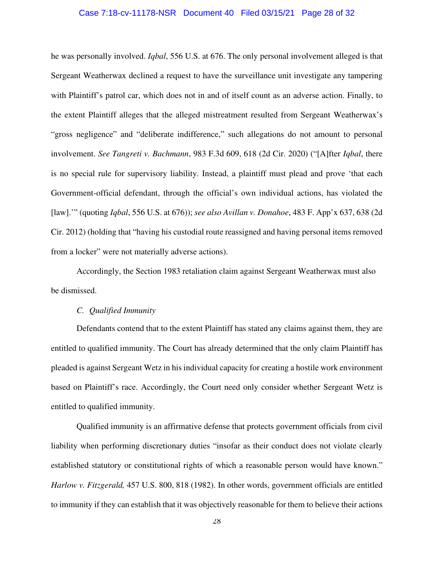#### Case 7:18-cv-11178-NSR Document 40 Filed 03/15/21 Page 28 of 32

he was personally involved. *Iqbal*, 556 U.S. at 676. The only personal involvement alleged is that Sergeant Weatherwax declined a request to have the surveillance unit investigate any tampering with Plaintiff's patrol car, which does not in and of itself count as an adverse action. Finally, to the extent Plaintiff alleges that the alleged mistreatment resulted from Sergeant Weatherwax's "gross negligence" and "deliberate indifference," such allegations do not amount to personal involvement. *See Tangreti v. Bachmann*, 983 F.3d 609, 618 (2d Cir. 2020) ("[A]fter *Iqbal*, there is no special rule for supervisory liability. Instead, a plaintiff must plead and prove 'that each Government-official defendant, through the official's own individual actions, has violated the [law].'" (quoting *Iqbal*, 556 U.S. at 676)); *see also Avillan v. Donahoe*, 483 F. App'x 637, 638 (2d Cir. 2012) (holding that "having his custodial route reassigned and having personal items removed from a locker" were not materially adverse actions).

Accordingly, the Section 1983 retaliation claim against Sergeant Weatherwax must also be dismissed.

### *C. Qualified Immunity*

Defendants contend that to the extent Plaintiff has stated any claims against them, they are entitled to qualified immunity. The Court has already determined that the only claim Plaintiff has pleaded is against Sergeant Wetz in his individual capacity for creating a hostile work environment based on Plaintiff's race. Accordingly, the Court need only consider whether Sergeant Wetz is entitled to qualified immunity.

Qualified immunity is an affirmative defense that protects government officials from civil liability when performing discretionary duties "insofar as their conduct does not violate clearly established statutory or constitutional rights of which a reasonable person would have known." *Harlow v. Fitzgerald,* 457 U.S. 800, 818 (1982). In other words, government officials are entitled to immunity if they can establish that it was objectively reasonable for them to believe their actions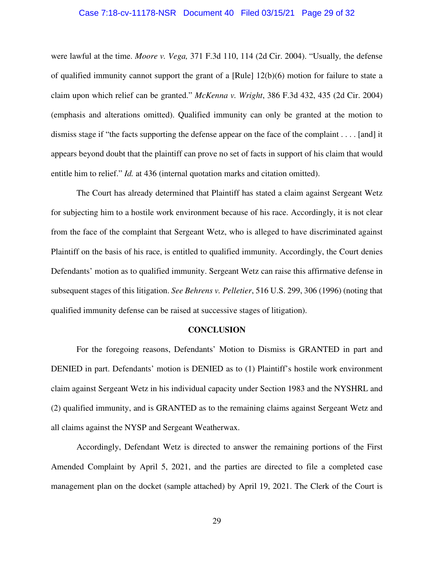#### Case 7:18-cv-11178-NSR Document 40 Filed 03/15/21 Page 29 of 32

were lawful at the time. *Moore v. Vega,* 371 F.3d 110, 114 (2d Cir. 2004). "Usually*,* the defense of qualified immunity cannot support the grant of a [Rule] 12(b)(6) motion for failure to state a claim upon which relief can be granted." *McKenna v. Wright*, 386 F.3d 432, 435 (2d Cir. 2004) (emphasis and alterations omitted). Qualified immunity can only be granted at the motion to dismiss stage if "the facts supporting the defense appear on the face of the complaint . . . . [and] it appears beyond doubt that the plaintiff can prove no set of facts in support of his claim that would entitle him to relief." *Id.* at 436 (internal quotation marks and citation omitted).

The Court has already determined that Plaintiff has stated a claim against Sergeant Wetz for subjecting him to a hostile work environment because of his race. Accordingly, it is not clear from the face of the complaint that Sergeant Wetz, who is alleged to have discriminated against Plaintiff on the basis of his race, is entitled to qualified immunity. Accordingly, the Court denies Defendants' motion as to qualified immunity. Sergeant Wetz can raise this affirmative defense in subsequent stages of this litigation. *See Behrens v. Pelletier*, 516 U.S. 299, 306 (1996) (noting that qualified immunity defense can be raised at successive stages of litigation).

#### **CONCLUSION**

For the foregoing reasons, Defendants' Motion to Dismiss is GRANTED in part and DENIED in part. Defendants' motion is DENIED as to (1) Plaintiff's hostile work environment claim against Sergeant Wetz in his individual capacity under Section 1983 and the NYSHRL and (2) qualified immunity, and is GRANTED as to the remaining claims against Sergeant Wetz and all claims against the NYSP and Sergeant Weatherwax.

Accordingly, Defendant Wetz is directed to answer the remaining portions of the First Amended Complaint by April 5, 2021, and the parties are directed to file a completed case management plan on the docket (sample attached) by April 19, 2021. The Clerk of the Court is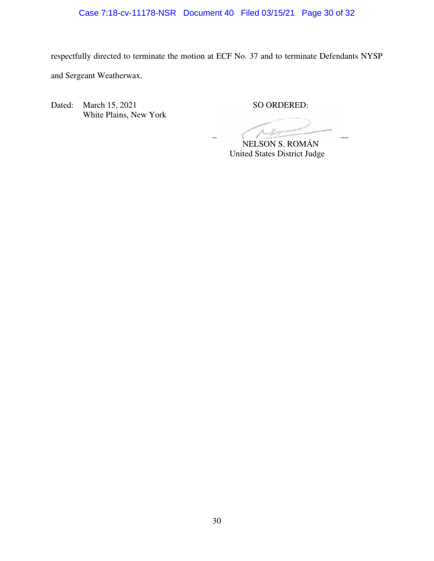# Case 7:18-cv-11178-NSR Document 40 Filed 03/15/21 Page 30 of 32

respectfully directed to terminate the motion at ECF No. 37 and to terminate Defendants NYSP and Sergeant Weatherwax.

Dated: March 15, 2021 SO ORDERED: White Plains, New York

 $\overline{C}$ 

NELSON S. ROMÁN United States District Judge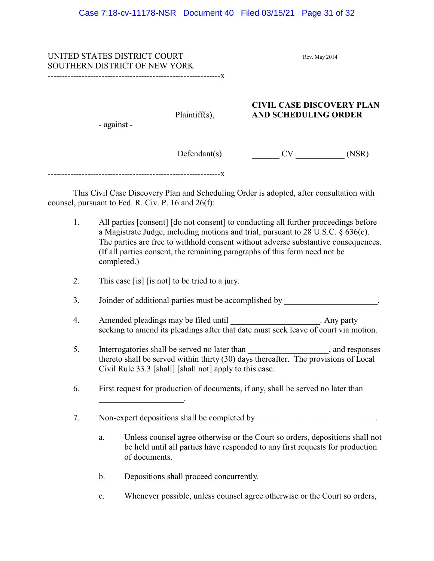UNITED STATES DISTRICT COURT Rev. May 2014 SOUTHERN DISTRICT OF NEW YORK -------------------------------------------------------------x

# **CIVIL CASE DISCOVERY PLAN** Plaintiff(s), **AND SCHEDULING ORDER**

- against -

Defendant(s). CV (NSR)

-------------------------------------------------------------x

This Civil Case Discovery Plan and Scheduling Order is adopted, after consultation with counsel, pursuant to Fed. R. Civ. P. 16 and 26(f):

- 1. All parties [consent] [do not consent] to conducting all further proceedings before a Magistrate Judge, including motions and trial, pursuant to 28 U.S.C. § 636(c). The parties are free to withhold consent without adverse substantive consequences. (If all parties consent, the remaining paragraphs of this form need not be completed.)
- 2. This case [is] [is not] to be tried to a jury.

 $\overline{\phantom{a}}$  , which is a set of the set of the set of the set of the set of the set of the set of the set of the set of the set of the set of the set of the set of the set of the set of the set of the set of the set of th

- 3. Joinder of additional parties must be accomplished by \_\_\_\_\_\_\_\_\_\_\_\_\_\_\_\_\_\_\_\_\_.
- 4. Amended pleadings may be filed until \_\_\_\_\_\_\_\_\_\_\_\_\_\_\_\_\_\_\_\_\_. Any party seeking to amend its pleadings after that date must seek leave of court via motion.
- 5. Interrogatories shall be served no later than \_\_\_\_\_\_\_\_\_\_\_\_\_\_\_\_, and responses thereto shall be served within thirty (30) days thereafter. The provisions of Local Civil Rule 33.3 [shall] [shall not] apply to this case.
- 6. First request for production of documents, if any, shall be served no later than
- 7. Non-expert depositions shall be completed by
	- a. Unless counsel agree otherwise or the Court so orders, depositions shall not be held until all parties have responded to any first requests for production of documents.
	- b. Depositions shall proceed concurrently.
	- c. Whenever possible, unless counsel agree otherwise or the Court so orders,